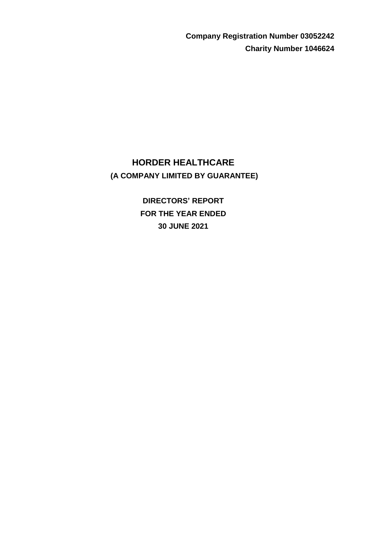**Company Registration Number 03052242 Charity Number 1046624**

# **HORDER HEALTHCARE (A COMPANY LIMITED BY GUARANTEE)**

**DIRECTORS' REPORT FOR THE YEAR ENDED 30 JUNE 2021**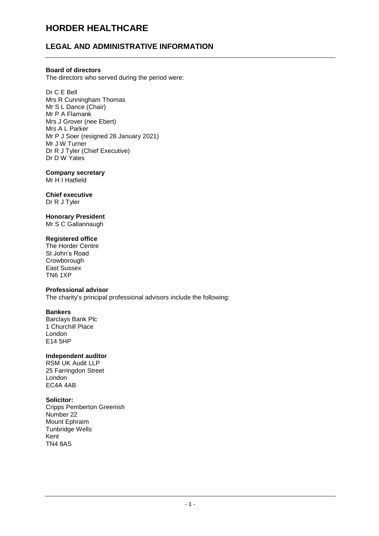# **LEGAL AND ADMINISTRATIVE INFORMATION**

## **Board of directors**

The directors who served during the period were:

Dr C E Bell Mrs R Cunningham Thomas Mr S L Dance (Chair) Mr P A Flamank Mrs J Grover (nee Ebert) Mrs A L Parker Mr P J Soer (resigned 28 January 2021) Mr J W Turner Dr R J Tyler (Chief Executive) Dr D W Yates

# **Company secretary**

Mr H<sup>1</sup> Hatfield

#### **Chief executive** Dr R J Tyler

# **Honorary President**

Mr S C Gallannaugh

## **Registered office**

The Horder Centre St John's Road **Crowborough** East Sussex TN6 1XP

## **Professional advisor**

The charity's principal professional advisors include the following:

## **Bankers**

Barclays Bank Plc 1 Churchill Place London E14 5HP

## **Independent auditor**

RSM UK Audit LLP 25 Farringdon Street London EC4A 4AB

## **Solicitor:**

Cripps Pemberton Greenish Number 22 Mount Ephraim Tunbridge Wells Kent TN4 8AS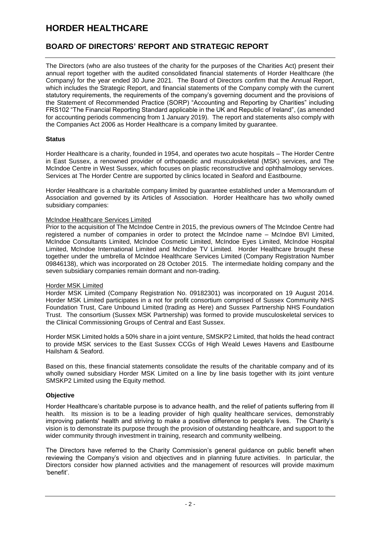# **BOARD OF DIRECTORS' REPORT AND STRATEGIC REPORT**

The Directors (who are also trustees of the charity for the purposes of the Charities Act) present their annual report together with the audited consolidated financial statements of Horder Healthcare (the Company) for the year ended 30 June 2021. The Board of Directors confirm that the Annual Report, which includes the Strategic Report, and financial statements of the Company comply with the current statutory requirements, the requirements of the company's governing document and the provisions of the Statement of Recommended Practice (SORP) "Accounting and Reporting by Charities" including FRS102 "The Financial Reporting Standard applicable in the UK and Republic of Ireland", (as amended for accounting periods commencing from 1 January 2019). The report and statements also comply with the Companies Act 2006 as Horder Healthcare is a company limited by guarantee.

# **Status**

Horder Healthcare is a charity, founded in 1954, and operates two acute hospitals – The Horder Centre in East Sussex, a renowned provider of orthopaedic and musculoskeletal (MSK) services, and The McIndoe Centre in West Sussex, which focuses on plastic reconstructive and ophthalmology services. Services at The Horder Centre are supported by clinics located in Seaford and Eastbourne.

Horder Healthcare is a charitable company limited by guarantee established under a Memorandum of Association and governed by its Articles of Association. Horder Healthcare has two wholly owned subsidiary companies:

## McIndoe Healthcare Services Limited

Prior to the acquisition of The McIndoe Centre in 2015, the previous owners of The McIndoe Centre had registered a number of companies in order to protect the McIndoe name – McIndoe BVI Limited, McIndoe Consultants Limited, McIndoe Cosmetic Limited, McIndoe Eyes Limited, McIndoe Hospital Limited, McIndoe International Limited and McIndoe TV Limited. Horder Healthcare brought these together under the umbrella of McIndoe Healthcare Services Limited (Company Registration Number 09846138), which was incorporated on 28 October 2015. The intermediate holding company and the seven subsidiary companies remain dormant and non-trading.

## Horder MSK Limited

Horder MSK Limited (Company Registration No. 09182301) was incorporated on 19 August 2014. Horder MSK Limited participates in a not for profit consortium comprised of Sussex Community NHS Foundation Trust, Care Unbound Limited (trading as Here) and Sussex Partnership NHS Foundation Trust. The consortium (Sussex MSK Partnership) was formed to provide musculoskeletal services to the Clinical Commissioning Groups of Central and East Sussex.

Horder MSK Limited holds a 50% share in a joint venture, SMSKP2 Limited, that holds the head contract to provide MSK services to the East Sussex CCGs of High Weald Lewes Havens and Eastbourne Hailsham & Seaford.

Based on this, these financial statements consolidate the results of the charitable company and of its wholly owned subsidiary Horder MSK Limited on a line by line basis together with its joint venture SMSKP2 Limited using the Equity method.

# **Objective**

Horder Healthcare's charitable purpose is to advance health, and the relief of patients suffering from ill health. Its mission is to be a leading provider of high quality healthcare services, demonstrably improving patients' health and striving to make a positive difference to people's lives. The Charity's vision is to demonstrate its purpose through the provision of outstanding healthcare, and support to the wider community through investment in training, research and community wellbeing.

The Directors have referred to the Charity Commission's general guidance on public benefit when reviewing the Company's vision and objectives and in planning future activities. In particular, the Directors consider how planned activities and the management of resources will provide maximum 'benefit'.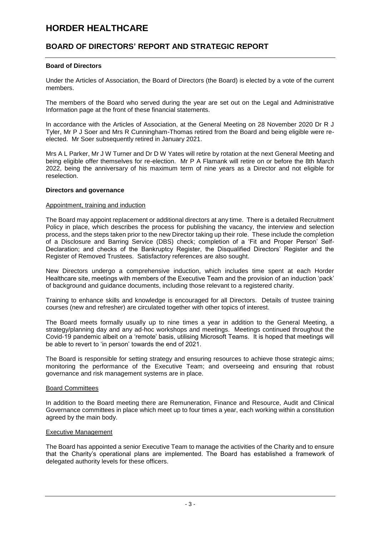# **BOARD OF DIRECTORS' REPORT AND STRATEGIC REPORT**

## **Board of Directors**

Under the Articles of Association, the Board of Directors (the Board) is elected by a vote of the current members.

The members of the Board who served during the year are set out on the Legal and Administrative Information page at the front of these financial statements.

In accordance with the Articles of Association, at the General Meeting on 28 November 2020 Dr R J Tyler, Mr P J Soer and Mrs R Cunningham-Thomas retired from the Board and being eligible were reelected. Mr Soer subsequently retired in January 2021.

Mrs A L Parker, Mr J W Turner and Dr D W Yates will retire by rotation at the next General Meeting and being eligible offer themselves for re-election. Mr P A Flamank will retire on or before the 8th March 2022, being the anniversary of his maximum term of nine years as a Director and not eligible for reselection.

## **Directors and governance**

#### Appointment, training and induction

The Board may appoint replacement or additional directors at any time. There is a detailed Recruitment Policy in place, which describes the process for publishing the vacancy, the interview and selection process, and the steps taken prior to the new Director taking up their role. These include the completion of a Disclosure and Barring Service (DBS) check; completion of a 'Fit and Proper Person' Self-Declaration; and checks of the Bankruptcy Register, the Disqualified Directors' Register and the Register of Removed Trustees. Satisfactory references are also sought.

New Directors undergo a comprehensive induction, which includes time spent at each Horder Healthcare site, meetings with members of the Executive Team and the provision of an induction 'pack' of background and guidance documents, including those relevant to a registered charity.

Training to enhance skills and knowledge is encouraged for all Directors. Details of trustee training courses (new and refresher) are circulated together with other topics of interest.

The Board meets formally usually up to nine times a year in addition to the General Meeting, a strategy/planning day and any ad-hoc workshops and meetings. Meetings continued throughout the Covid-19 pandemic albeit on a 'remote' basis, utilising Microsoft Teams. It is hoped that meetings will be able to revert to 'in person' towards the end of 2021.

The Board is responsible for setting strategy and ensuring resources to achieve those strategic aims; monitoring the performance of the Executive Team; and overseeing and ensuring that robust governance and risk management systems are in place.

## Board Committees

In addition to the Board meeting there are Remuneration, Finance and Resource, Audit and Clinical Governance committees in place which meet up to four times a year, each working within a constitution agreed by the main body.

## Executive Management

The Board has appointed a senior Executive Team to manage the activities of the Charity and to ensure that the Charity's operational plans are implemented. The Board has established a framework of delegated authority levels for these officers.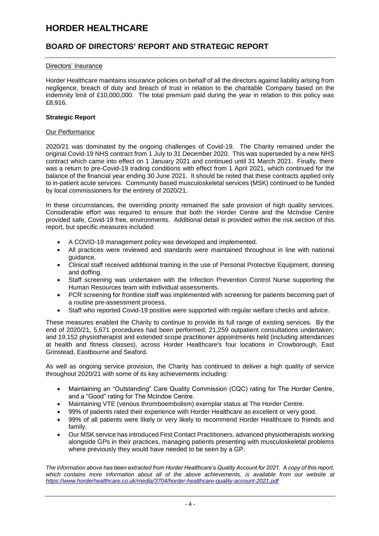# **BOARD OF DIRECTORS' REPORT AND STRATEGIC REPORT**

## Directors' Insurance

Horder Healthcare maintains insurance policies on behalf of all the directors against liability arising from negligence, breach of duty and breach of trust in relation to the charitable Company based on the indemnity limit of £10,000,000. The total premium paid during the year in relation to this policy was £8,916.

## **Strategic Report**

#### Our Performance

2020/21 was dominated by the ongoing challenges of Covid-19. The Charity remained under the original Covid-19 NHS contract from 1 July to 31 December 2020. This was superseded by a new NHS contract which came into effect on 1 January 2021 and continued until 31 March 2021. Finally, there was a return to pre-Covid-19 trading conditions with effect from 1 April 2021, which continued for the balance of the financial year ending 30 June 2021. It should be noted that these contracts applied only to in-patient acute services. Community based musculoskeletal services (MSK) continued to be funded by local commissioners for the entirety of 2020/21.

In these circumstances, the overriding priority remained the safe provision of high quality services. Considerable effort was required to ensure that both the Horder Centre and the McIndoe Centre provided safe, Covid-19 free, environments. Additional detail is provided within the risk section of this report, but specific measures included:

- A COVID-19 management policy was developed and implemented.
- All practices were reviewed and standards were maintained throughout in line with national guidance.
- Clinical staff received additional training in the use of Personal Protective Equipment, donning and doffing.
- Staff screening was undertaken with the Infection Prevention Control Nurse supporting the Human Resources team with individual assessments.
- PCR screening for frontline staff was implemented with screening for patients becoming part of a routine pre-assessment process.
- Staff who reported Covid-19 positive were supported with regular welfare checks and advice.

These measures enabled the Charity to continue to provide its full range of existing services. By the end of 2020/21, 5,671 procedures had been performed; 21,259 outpatient consultations undertaken; and 19,152 physiotherapist and extended scope practitioner appointments held (including attendances at health and fitness classes), across Horder Healthcare's four locations in Crowborough, East Grinstead, Eastbourne and Seaford.

As well as ongoing service provision, the Charity has continued to deliver a high quality of service throughout 2020/21 with some of its key achievements including:

- Maintaining an "Outstanding" Care Quality Commission (CQC) rating for The Horder Centre, and a "Good" rating for The McIndoe Centre.
- Maintaining VTE (venous thromboembolism) exemplar status at The Horder Centre.
- 99% of patients rated their experience with Horder Healthcare as excellent or very good.
- 99% of all patients were likely or very likely to recommend Horder Healthcare to friends and family.
- Our MSK service has introduced First Contact Practitioners, advanced physiotherapists working alongside GPs in their practices, managing patients presenting with musculoskeletal problems where previously they would have needed to be seen by a GP.

*The information above has been extracted from Horder Healthcare's Quality Account for 2021. A copy of this report, which contains more information about all of the above achievements, is available from our website at <https://www.horderhealthcare.co.uk/media/3704/horder-healthcare-quality-account-2021.pdf>*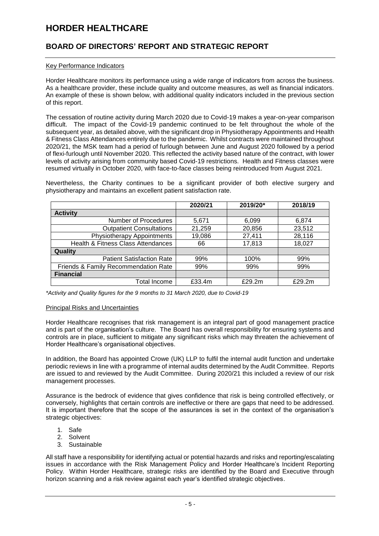# **BOARD OF DIRECTORS' REPORT AND STRATEGIC REPORT**

#### Key Performance Indicators

Horder Healthcare monitors its performance using a wide range of indicators from across the business. As a healthcare provider, these include quality and outcome measures, as well as financial indicators. An example of these is shown below, with additional quality indicators included in the previous section of this report.

The cessation of routine activity during March 2020 due to Covid-19 makes a year-on-year comparison difficult. The impact of the Covid-19 pandemic continued to be felt throughout the whole of the subsequent year, as detailed above, with the significant drop in Physiotherapy Appointments and Health & Fitness Class Attendances entirely due to the pandemic. Whilst contracts were maintained throughout 2020/21, the MSK team had a period of furlough between June and August 2020 followed by a period of flexi-furlough until November 2020. This reflected the activity based nature of the contract, with lower levels of activity arising from community based Covid-19 restrictions. Health and Fitness classes were resumed virtually in October 2020, with face-to-face classes being reintroduced from August 2021.

Nevertheless, the Charity continues to be a significant provider of both elective surgery and physiotherapy and maintains an excellent patient satisfaction rate.

|                                               | 2020/21 | 2019/20* | 2018/19 |
|-----------------------------------------------|---------|----------|---------|
| <b>Activity</b>                               |         |          |         |
| Number of Procedures                          | 5,671   | 6,099    | 6,874   |
| <b>Outpatient Consultations</b>               | 21,259  | 20,856   | 23,512  |
| Physiotherapy Appointments                    | 19,086  | 27,411   | 28,116  |
| <b>Health &amp; Fitness Class Attendances</b> | 66      | 17,813   | 18,027  |
| Quality                                       |         |          |         |
| <b>Patient Satisfaction Rate</b>              | 99%     | 100%     | 99%     |
| Friends & Family Recommendation Rate          | 99%     | 99%      | 99%     |
| <b>Financial</b>                              |         |          |         |
| Total Income                                  | £33.4m  | £29.2m   | £29.2m  |

*\*Activity and Quality figures for the 9 months to 31 March 2020, due to Covid-19*

#### Principal Risks and Uncertainties

Horder Healthcare recognises that risk management is an integral part of good management practice and is part of the organisation's culture. The Board has overall responsibility for ensuring systems and controls are in place, sufficient to mitigate any significant risks which may threaten the achievement of Horder Healthcare's organisational objectives.

In addition, the Board has appointed Crowe (UK) LLP to fulfil the internal audit function and undertake periodic reviews in line with a programme of internal audits determined by the Audit Committee. Reports are issued to and reviewed by the Audit Committee. During 2020/21 this included a review of our risk management processes.

Assurance is the bedrock of evidence that gives confidence that risk is being controlled effectively, or conversely, highlights that certain controls are ineffective or there are gaps that need to be addressed. It is important therefore that the scope of the assurances is set in the context of the organisation's strategic objectives:

- 1. Safe
- 2. Solvent
- 3. Sustainable

All staff have a responsibility for identifying actual or potential hazards and risks and reporting/escalating issues in accordance with the Risk Management Policy and Horder Healthcare's Incident Reporting Policy. Within Horder Healthcare, strategic risks are identified by the Board and Executive through horizon scanning and a risk review against each year's identified strategic objectives.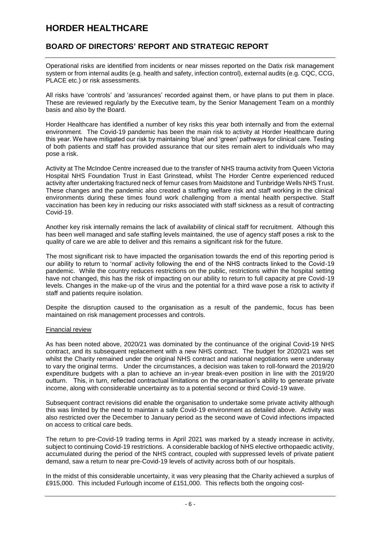# **BOARD OF DIRECTORS' REPORT AND STRATEGIC REPORT**

Operational risks are identified from incidents or near misses reported on the Datix risk management system or from internal audits (e.g. health and safety, infection control), external audits (e.g. CQC, CCG, PLACE etc.) or risk assessments.

All risks have 'controls' and 'assurances' recorded against them, or have plans to put them in place. These are reviewed regularly by the Executive team, by the Senior Management Team on a monthly basis and also by the Board.

Horder Healthcare has identified a number of key risks this year both internally and from the external environment. The Covid-19 pandemic has been the main risk to activity at Horder Healthcare during this year. We have mitigated our risk by maintaining 'blue' and 'green' pathways for clinical care. Testing of both patients and staff has provided assurance that our sites remain alert to individuals who may pose a risk.

Activity at The McIndoe Centre increased due to the transfer of NHS trauma activity from Queen Victoria Hospital NHS Foundation Trust in East Grinstead, whilst The Horder Centre experienced reduced activity after undertaking fractured neck of femur cases from Maidstone and Tunbridge Wells NHS Trust. These changes and the pandemic also created a staffing welfare risk and staff working in the clinical environments during these times found work challenging from a mental health perspective. Staff vaccination has been key in reducing our risks associated with staff sickness as a result of contracting Covid-19.

Another key risk internally remains the lack of availability of clinical staff for recruitment. Although this has been well managed and safe staffing levels maintained, the use of agency staff poses a risk to the quality of care we are able to deliver and this remains a significant risk for the future.

The most significant risk to have impacted the organisation towards the end of this reporting period is our ability to return to 'normal' activity following the end of the NHS contracts linked to the Covid-19 pandemic. While the country reduces restrictions on the public, restrictions within the hospital setting have not changed, this has the risk of impacting on our ability to return to full capacity at pre Covid-19 levels. Changes in the make-up of the virus and the potential for a third wave pose a risk to activity if staff and patients require isolation.

Despite the disruption caused to the organisation as a result of the pandemic, focus has been maintained on risk management processes and controls.

## Financial review

As has been noted above, 2020/21 was dominated by the continuance of the original Covid-19 NHS contract, and its subsequent replacement with a new NHS contract. The budget for 2020/21 was set whilst the Charity remained under the original NHS contract and national negotiations were underway to vary the original terms. Under the circumstances, a decision was taken to roll-forward the 2019/20 expenditure budgets with a plan to achieve an in-year break-even position in line with the 2019/20 outturn. This, in turn, reflected contractual limitations on the organisation's ability to generate private income, along with considerable uncertainty as to a potential second or third Covid-19 wave.

Subsequent contract revisions did enable the organisation to undertake some private activity although this was limited by the need to maintain a safe Covid-19 environment as detailed above. Activity was also restricted over the December to January period as the second wave of Covid infections impacted on access to critical care beds.

The return to pre-Covid-19 trading terms in April 2021 was marked by a steady increase in activity, subject to continuing Covid-19 restrictions. A considerable backlog of NHS elective orthopaedic activity, accumulated during the period of the NHS contract, coupled with suppressed levels of private patient demand, saw a return to near pre-Covid-19 levels of activity across both of our hospitals.

In the midst of this considerable uncertainty, it was very pleasing that the Charity achieved a surplus of £915,000. This included Furlough income of £151,000. This reflects both the ongoing cost-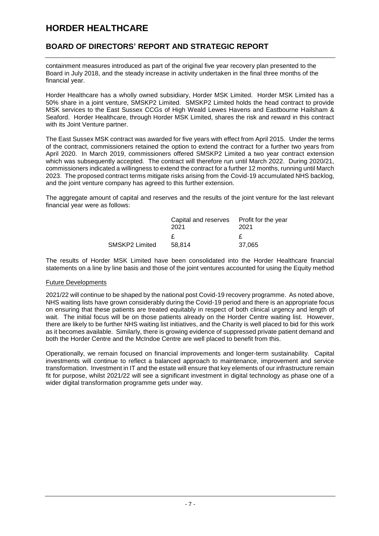# **BOARD OF DIRECTORS' REPORT AND STRATEGIC REPORT**

containment measures introduced as part of the original five year recovery plan presented to the Board in July 2018, and the steady increase in activity undertaken in the final three months of the financial year.

Horder Healthcare has a wholly owned subsidiary, Horder MSK Limited. Horder MSK Limited has a 50% share in a joint venture, SMSKP2 Limited. SMSKP2 Limited holds the head contract to provide MSK services to the East Sussex CCGs of High Weald Lewes Havens and Eastbourne Hailsham & Seaford. Horder Healthcare, through Horder MSK Limited, shares the risk and reward in this contract with its Joint Venture partner.

The East Sussex MSK contract was awarded for five years with effect from April 2015. Under the terms of the contract, commissioners retained the option to extend the contract for a further two years from April 2020. In March 2019, commissioners offered SMSKP2 Limited a two year contract extension which was subsequently accepted. The contract will therefore run until March 2022. During 2020/21, commissioners indicated a willingness to extend the contract for a further 12 months, running until March 2023. The proposed contract terms mitigate risks arising from the Covid-19 accumulated NHS backlog, and the joint venture company has agreed to this further extension.

The aggregate amount of capital and reserves and the results of the joint venture for the last relevant financial year were as follows:

|                | Capital and reserves Profit for the year<br>2021 | 2021   |
|----------------|--------------------------------------------------|--------|
|                |                                                  |        |
| SMSKP2 Limited | 58.814                                           | 37,065 |

The results of Horder MSK Limited have been consolidated into the Horder Healthcare financial statements on a line by line basis and those of the joint ventures accounted for using the Equity method

## Future Developments

2021/22 will continue to be shaped by the national post Covid-19 recovery programme. As noted above, NHS waiting lists have grown considerably during the Covid-19 period and there is an appropriate focus on ensuring that these patients are treated equitably in respect of both clinical urgency and length of wait. The initial focus will be on those patients already on the Horder Centre waiting list. However, there are likely to be further NHS waiting list initiatives, and the Charity is well placed to bid for this work as it becomes available. Similarly, there is growing evidence of suppressed private patient demand and both the Horder Centre and the McIndoe Centre are well placed to benefit from this.

Operationally, we remain focused on financial improvements and longer-term sustainability. Capital investments will continue to reflect a balanced approach to maintenance, improvement and service transformation. Investment in IT and the estate will ensure that key elements of our infrastructure remain fit for purpose, whilst 2021/22 will see a significant investment in digital technology as phase one of a wider digital transformation programme gets under way.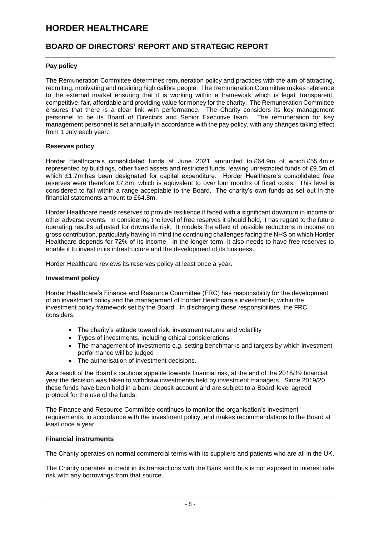# **BOARD OF DIRECTORS' REPORT AND STRATEGIC REPORT**

# **Pay policy**

The Remuneration Committee determines remuneration policy and practices with the aim of attracting, recruiting, motivating and retaining high calibre people. The Remuneration Committee makes reference to the external market ensuring that it is working within a framework which is legal, transparent, competitive, fair, affordable and providing value for money for the charity. The Remuneration Committee ensures that there is a clear link with performance. The Charity considers its key management personnel to be its Board of Directors and Senior Executive team. The remuneration for key management personnel is set annually in accordance with the pay policy, with any changes taking effect from 1 July each year.

## **Reserves policy**

Horder Healthcare's consolidated funds at June 2021 amounted to £64.9m of which £55.4m is represented by buildings, other fixed assets and restricted funds, leaving unrestricted funds of £9.5m of which £1.7m has been designated for capital expenditure. Horder Healthcare's consolidated free reserves were therefore £7.8m, which is equivalent to over four months of fixed costs. This level is considered to fall within a range acceptable to the Board. The charity's own funds as set out in the financial statements amount to £64.8m.

Horder Healthcare needs reserves to provide resilience if faced with a significant downturn in income or other adverse events. In considering the level of free reserves it should hold, it has regard to the future operating results adjusted for downside risk. It models the effect of possible reductions in income on gross contribution, particularly having in mind the continuing challenges facing the NHS on which Horder Healthcare depends for 72% of its income. In the longer term, it also needs to have free reserves to enable it to invest in its infrastructure and the development of its business.

Horder Healthcare reviews its reserves policy at least once a year.

## **Investment policy**

Horder Healthcare's Finance and Resource Committee (FRC) has responsibility for the development of an investment policy and the management of Horder Healthcare's investments, within the investment policy framework set by the Board. In discharging these responsibilities, the FRC considers:

- The charity's attitude toward risk, investment returns and volatility
- Types of investments, including ethical considerations
- The management of investments e.g. setting benchmarks and targets by which investment performance will be judged
- The authorisation of investment decisions.

As a result of the Board's cautious appetite towards financial risk, at the end of the 2018/19 financial year the decision was taken to withdraw investments held by investment managers. Since 2019/20, these funds have been held in a bank deposit account and are subject to a Board-level agreed protocol for the use of the funds.

The Finance and Resource Committee continues to monitor the organisation's investment requirements, in accordance with the investment policy, and makes recommendations to the Board at least once a year.

## **Financial instruments**

The Charity operates on normal commercial terms with its suppliers and patients who are all in the UK.

The Charity operates in credit in its transactions with the Bank and thus is not exposed to interest rate risk with any borrowings from that source.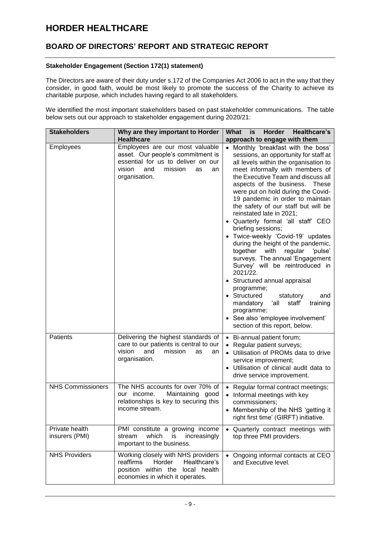# **BOARD OF DIRECTORS' REPORT AND STRATEGIC REPORT**

## **Stakeholder Engagement (Section 172(1) statement)**

The Directors are aware of their duty under s.172 of the Companies Act 2006 to act in the way that they consider, in good faith, would be most likely to promote the success of the Charity to achieve its charitable purpose, which includes having regard to all stakeholders.

We identified the most important stakeholders based on past stakeholder communications. The table below sets out our approach to stakeholder engagement during 2020/21:

| <b>Stakeholders</b>              | Why are they important to Horder                                                                                                                                    | Horder<br>Healthcare's<br>What<br>is                                                                                                                                                                                                                                                                                                                                                                                                                                                                                                                                                                                                                                                                                                                                                                                                                              |  |
|----------------------------------|---------------------------------------------------------------------------------------------------------------------------------------------------------------------|-------------------------------------------------------------------------------------------------------------------------------------------------------------------------------------------------------------------------------------------------------------------------------------------------------------------------------------------------------------------------------------------------------------------------------------------------------------------------------------------------------------------------------------------------------------------------------------------------------------------------------------------------------------------------------------------------------------------------------------------------------------------------------------------------------------------------------------------------------------------|--|
|                                  | <b>Healthcare</b>                                                                                                                                                   | approach to engage with them                                                                                                                                                                                                                                                                                                                                                                                                                                                                                                                                                                                                                                                                                                                                                                                                                                      |  |
| Employees                        | Employees are our most valuable<br>asset. Our people's commitment is<br>essential for us to deliver on our<br>vision<br>and<br>mission<br>as<br>an<br>organisation. | Monthly 'breakfast with the boss'<br>sessions, an opportunity for staff at<br>all levels within the organisation to<br>meet informally with members of<br>the Executive Team and discuss all<br>aspects of the business. These<br>were put on hold during the Covid-<br>19 pandemic in order to maintain<br>the safety of our staff but will be<br>reinstated late in 2021;<br>• Quarterly formal 'all staff' CEO<br>briefing sessions;<br>• Twice-weekly 'Covid-19' updates<br>during the height of the pandemic,<br>together<br>with<br>regular<br>'pulse'<br>surveys. The annual 'Engagement<br>Survey' will be reintroduced in<br>2021/22.<br>• Structured annual appraisal<br>programme;<br>• Structured<br>statutory<br>and<br>staff'<br>mandatory<br>ʻall<br>training<br>programme;<br>• See also 'employee involvement'<br>section of this report, below. |  |
| Patients                         | Delivering the highest standards of<br>care to our patients is central to our<br>and<br>vision<br>mission<br>as<br>an<br>organisation.                              | • Bi-annual patient forum;<br>• Regular patient surveys;<br>• Utilisation of PROMs data to drive<br>service improvement;<br>• Utilisation of clinical audit data to<br>drive service improvement.                                                                                                                                                                                                                                                                                                                                                                                                                                                                                                                                                                                                                                                                 |  |
| <b>NHS Commissioners</b>         | The NHS accounts for over 70% of<br>Maintaining good<br>our income.<br>relationships is key to securing this<br>income stream.                                      | • Regular formal contract meetings;<br>• Informal meetings with key<br>commissioners;<br>• Membership of the NHS 'getting it<br>right first time' (GIRFT) initiative.                                                                                                                                                                                                                                                                                                                                                                                                                                                                                                                                                                                                                                                                                             |  |
| Private health<br>insurers (PMI) | PMI constitute a growing income<br>which<br>is<br>stream<br>increasingly<br>important to the business.                                                              | • Quarterly contract meetings with<br>top three PMI providers.                                                                                                                                                                                                                                                                                                                                                                                                                                                                                                                                                                                                                                                                                                                                                                                                    |  |
| <b>NHS Providers</b>             | Working closely with NHS providers<br>reaffirms<br>Horder<br>Healthcare's<br>position within the<br>local health<br>economies in which it operates.                 | Ongoing informal contacts at CEO<br>and Executive level.                                                                                                                                                                                                                                                                                                                                                                                                                                                                                                                                                                                                                                                                                                                                                                                                          |  |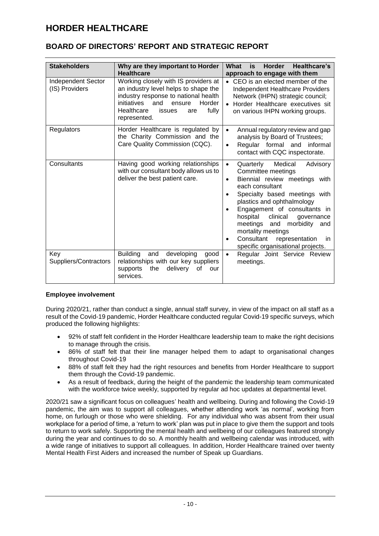# **BOARD OF DIRECTORS' REPORT AND STRATEGIC REPORT**

| <b>Stakeholders</b>                  | Why are they important to Horder<br><b>Healthcare</b>                                                                                                                                                                  | What<br><b>Horder</b><br>Healthcare's<br>is<br>approach to engage with them                                                                                                                                                                                                                                                                                                                                        |
|--------------------------------------|------------------------------------------------------------------------------------------------------------------------------------------------------------------------------------------------------------------------|--------------------------------------------------------------------------------------------------------------------------------------------------------------------------------------------------------------------------------------------------------------------------------------------------------------------------------------------------------------------------------------------------------------------|
| Independent Sector<br>(IS) Providers | Working closely with IS providers at<br>an industry level helps to shape the<br>industry response to national health<br>initiatives<br>Horder<br>and<br>ensure<br>Healthcare<br>fully<br>issues<br>are<br>represented. | CEO is an elected member of the<br>$\bullet$<br><b>Independent Healthcare Providers</b><br>Network (IHPN) strategic council;<br>Horder Healthcare executives sit<br>on various IHPN working groups.                                                                                                                                                                                                                |
| <b>Regulators</b>                    | Horder Healthcare is regulated by<br>the Charity Commission and the<br>Care Quality Commission (CQC).                                                                                                                  | Annual regulatory review and gap<br>$\bullet$<br>analysis by Board of Trustees;<br>Regular formal and<br>informal<br>$\bullet$<br>contact with CQC inspectorate.                                                                                                                                                                                                                                                   |
| Consultants                          | Having good working relationships<br>with our consultant body allows us to<br>deliver the best patient care.                                                                                                           | Medical<br>Advisory<br>Quarterly<br>$\bullet$<br>Committee meetings<br>Biennial review meetings with<br>$\bullet$<br>each consultant<br>Specialty based meetings with<br>plastics and ophthalmology<br>Engagement of consultants in<br>hospital<br>clinical<br>governance<br>meetings<br>morbidity<br>and<br>and<br>mortality meetings<br>Consultant<br>representation<br>in.<br>specific organisational projects. |
| Key<br>Suppliers/Contractors         | <b>Building</b><br>developing<br>and<br>good<br>relationships with our key suppliers<br>the<br>delivery<br>supports<br>οf<br>our<br>services.                                                                          | Regular Joint Service Review<br>meetings.                                                                                                                                                                                                                                                                                                                                                                          |

# **Employee involvement**

During 2020/21, rather than conduct a single, annual staff survey, in view of the impact on all staff as a result of the Covid-19 pandemic, Horder Healthcare conducted regular Covid-19 specific surveys, which produced the following highlights:

- 92% of staff felt confident in the Horder Healthcare leadership team to make the right decisions to manage through the crisis.
- 86% of staff felt that their line manager helped them to adapt to organisational changes throughout Covid-19
- 88% of staff felt they had the right resources and benefits from Horder Healthcare to support them through the Covid-19 pandemic.
- As a result of feedback, during the height of the pandemic the leadership team communicated with the workforce twice weekly, supported by regular ad hoc updates at departmental level.

2020/21 saw a significant focus on colleagues' health and wellbeing. During and following the Covid-19 pandemic, the aim was to support all colleagues, whether attending work 'as normal', working from home, on furlough or those who were shielding. For any individual who was absent from their usual workplace for a period of time, a 'return to work' plan was put in place to give them the support and tools to return to work safely. Supporting the mental health and wellbeing of our colleagues featured strongly during the year and continues to do so. A monthly health and wellbeing calendar was introduced, with a wide range of initiatives to support all colleagues. In addition, Horder Healthcare trained over twenty Mental Health First Aiders and increased the number of Speak up Guardians.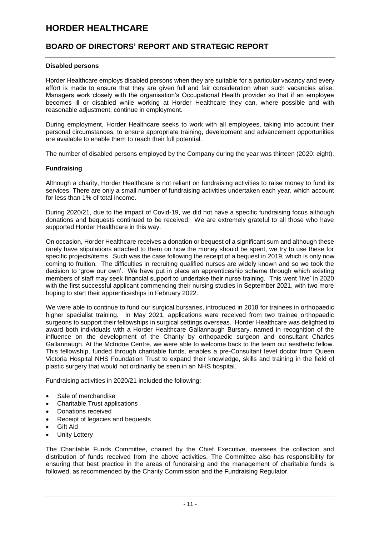# **BOARD OF DIRECTORS' REPORT AND STRATEGIC REPORT**

## **Disabled persons**

Horder Healthcare employs disabled persons when they are suitable for a particular vacancy and every effort is made to ensure that they are given full and fair consideration when such vacancies arise. Managers work closely with the organisation's Occupational Health provider so that if an employee becomes ill or disabled while working at Horder Healthcare they can, where possible and with reasonable adjustment, continue in employment.

During employment, Horder Healthcare seeks to work with all employees, taking into account their personal circumstances, to ensure appropriate training, development and advancement opportunities are available to enable them to reach their full potential.

The number of disabled persons employed by the Company during the year was thirteen (2020: eight).

## **Fundraising**

Although a charity, Horder Healthcare is not reliant on fundraising activities to raise money to fund its services. There are only a small number of fundraising activities undertaken each year, which account for less than 1% of total income.

During 2020/21, due to the impact of Covid-19, we did not have a specific fundraising focus although donations and bequests continued to be received. We are extremely grateful to all those who have supported Horder Healthcare in this way.

On occasion, Horder Healthcare receives a donation or bequest of a significant sum and although these rarely have stipulations attached to them on how the money should be spent, we try to use these for specific projects/items. Such was the case following the receipt of a bequest in 2019, which is only now coming to fruition. The difficulties in recruiting qualified nurses are widely known and so we took the decision to 'grow our own'. We have put in place an apprenticeship scheme through which existing members of staff may seek financial support to undertake their nurse training. This went 'live' in 2020 with the first successful applicant commencing their nursing studies in September 2021, with two more hoping to start their apprenticeships in February 2022.

We were able to continue to fund our surgical bursaries, introduced in 2018 for trainees in orthopaedic higher specialist training. In May 2021, applications were received from two trainee orthopaedic surgeons to support their fellowships in surgical settings overseas. Horder Healthcare was delighted to award both individuals with a Horder Healthcare Gallannaugh Bursary, named in recognition of the influence on the development of the Charity by orthopaedic surgeon and consultant Charles Gallannaugh. At the McIndoe Centre, we were able to welcome back to the team our aesthetic fellow. This fellowship, funded through charitable funds, enables a pre-Consultant level doctor from Queen Victoria Hospital NHS Foundation Trust to expand their knowledge, skills and training in the field of plastic surgery that would not ordinarily be seen in an NHS hospital.

Fundraising activities in 2020/21 included the following:

- Sale of merchandise
- Charitable Trust applications
- Donations received
- Receipt of legacies and bequests
- Gift Aid
- Unity Lottery

The Charitable Funds Committee, chaired by the Chief Executive, oversees the collection and distribution of funds received from the above activities. The Committee also has responsibility for ensuring that best practice in the areas of fundraising and the management of charitable funds is followed, as recommended by the Charity Commission and the Fundraising Regulator.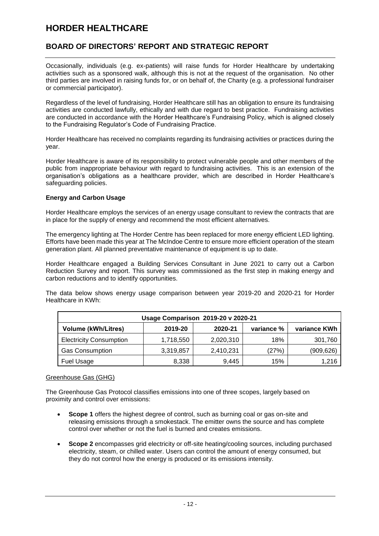# **BOARD OF DIRECTORS' REPORT AND STRATEGIC REPORT**

Occasionally, individuals (e.g. ex-patients) will raise funds for Horder Healthcare by undertaking activities such as a sponsored walk, although this is not at the request of the organisation. No other third parties are involved in raising funds for, or on behalf of, the Charity (e.g. a professional fundraiser or commercial participator).

Regardless of the level of fundraising, Horder Healthcare still has an obligation to ensure its fundraising activities are conducted lawfully, ethically and with due regard to best practice. Fundraising activities are conducted in accordance with the Horder Healthcare's Fundraising Policy, which is aligned closely to the Fundraising Regulator's Code of Fundraising Practice.

Horder Healthcare has received no complaints regarding its fundraising activities or practices during the year.

Horder Healthcare is aware of its responsibility to protect vulnerable people and other members of the public from inappropriate behaviour with regard to fundraising activities. This is an extension of the organisation's obligations as a healthcare provider, which are described in Horder Healthcare's safeguarding policies.

## **Energy and Carbon Usage**

Horder Healthcare employs the services of an energy usage consultant to review the contracts that are in place for the supply of energy and recommend the most efficient alternatives.

The emergency lighting at The Horder Centre has been replaced for more energy efficient LED lighting. Efforts have been made this year at The McIndoe Centre to ensure more efficient operation of the steam generation plant. All planned preventative maintenance of equipment is up to date.

Horder Healthcare engaged a Building Services Consultant in June 2021 to carry out a Carbon Reduction Survey and report. This survey was commissioned as the first step in making energy and carbon reductions and to identify opportunities.

The data below shows energy usage comparison between year 2019-20 and 2020-21 for Horder Healthcare in KWh:

| Usage Comparison 2019-20 v 2020-21 |           |           |            |              |
|------------------------------------|-----------|-----------|------------|--------------|
| <b>Volume (kWh/Litres)</b>         | 2019-20   | 2020-21   | variance % | variance KWh |
| <b>Electricity Consumption</b>     | 1,718,550 | 2,020,310 | 18%        | 301,760      |
| <b>Gas Consumption</b>             | 3,319,857 | 2,410,231 | (27%)      | (909, 626)   |
| <b>Fuel Usage</b>                  | 8,338     | 9.445     | 15%        | 1,216        |

## Greenhouse Gas (GHG)

The Greenhouse Gas Protocol classifies emissions into one of three scopes, largely based on proximity and control over emissions:

- **Scope 1** offers the highest degree of control, such as burning coal or gas on-site and releasing emissions through a smokestack. The emitter owns the source and has complete control over whether or not the fuel is burned and creates emissions.
- **Scope 2** encompasses grid electricity or off-site heating/cooling sources, including purchased electricity, steam, or chilled water. Users can control the amount of energy consumed, but they do not control how the energy is produced or its emissions intensity.